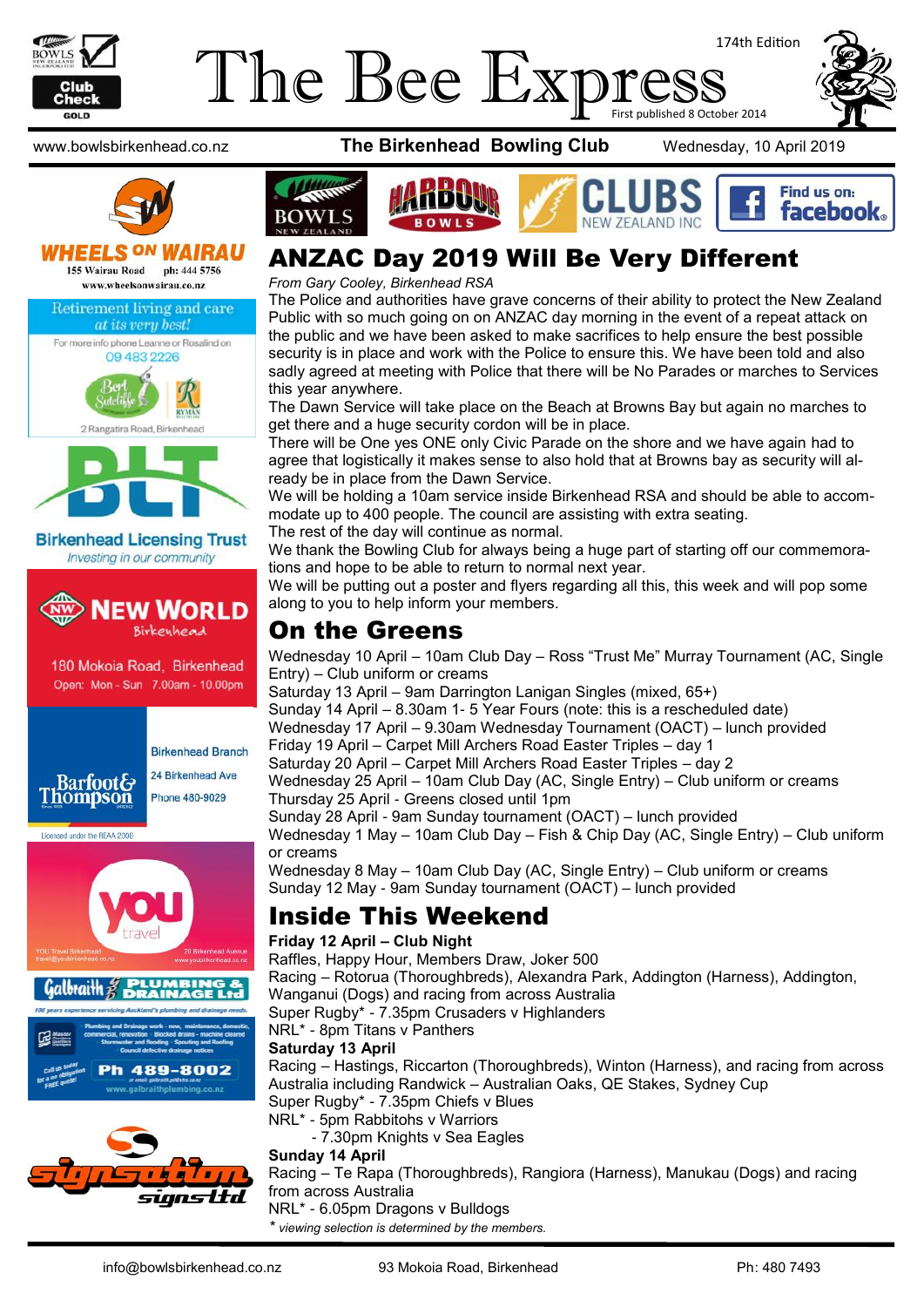

## 174th Edition The Bee Express





#### **WHEELS ON WAIRAU** 155 Wairau Road ph: 444 5756

www.wheelsonwairau.co.nz







#### **Birkenhead Licensing Trust** Investing in our community



180 Mokoia Road, Birkenhead Open: Mon - Sun 7.00am - 10.00pm



**Birkenhead Branch** 24 Birkenhead Ave Phone 480-9029

Licensed under the REAA 2008





www.bowlsbirkenhead.co.nz **The Birkenhead Bowling Club** Wednesday, 10 April 2019



## ANZAC Day 2019 Will Be Very Different

*From Gary Cooley, Birkenhead RSA*

The Police and authorities have grave concerns of their ability to protect the New Zealand Public with so much going on on ANZAC day morning in the event of a repeat attack on the public and we have been asked to make sacrifices to help ensure the best possible security is in place and work with the Police to ensure this. We have been told and also sadly agreed at meeting with Police that there will be No Parades or marches to Services this year anywhere.

The Dawn Service will take place on the Beach at Browns Bay but again no marches to get there and a huge security cordon will be in place.

There will be One yes ONE only Civic Parade on the shore and we have again had to agree that logistically it makes sense to also hold that at Browns bay as security will already be in place from the Dawn Service.

We will be holding a 10am service inside Birkenhead RSA and should be able to accommodate up to 400 people. The council are assisting with extra seating.

The rest of the day will continue as normal.

We thank the Bowling Club for always being a huge part of starting off our commemorations and hope to be able to return to normal next year.

We will be putting out a poster and flyers regarding all this, this week and will pop some along to you to help inform your members.

#### On the Greens

Wednesday 10 April – 10am Club Day – Ross "Trust Me" Murray Tournament (AC, Single Entry) – Club uniform or creams

Saturday 13 April – 9am Darrington Lanigan Singles (mixed, 65+)

Sunday 14 April – 8.30am 1- 5 Year Fours (note: this is a rescheduled date) Wednesday 17 April – 9.30am Wednesday Tournament (OACT) – lunch provided

Friday 19 April – Carpet Mill Archers Road Easter Triples – day 1

Saturday 20 April – Carpet Mill Archers Road Easter Triples – day 2

Wednesday 25 April – 10am Club Day (AC, Single Entry) – Club uniform or creams Thursday 25 April - Greens closed until 1pm

Sunday 28 April - 9am Sunday tournament (OACT) – lunch provided Wednesday 1 May – 10am Club Day – Fish & Chip Day (AC, Single Entry) – Club uniform or creams

Wednesday 8 May – 10am Club Day (AC, Single Entry) – Club uniform or creams Sunday 12 May - 9am Sunday tournament (OACT) – lunch provided

#### Inside This Weekend

#### **Friday 12 April – Club Night**

Raffles, Happy Hour, Members Draw, Joker 500

Racing – Rotorua (Thoroughbreds), Alexandra Park, Addington (Harness), Addington, Wanganui (Dogs) and racing from across Australia

Super Rugby\* - 7.35pm Crusaders v Highlanders

NRL\* - 8pm Titans v Panthers

#### **Saturday 13 April**

Racing – Hastings, Riccarton (Thoroughbreds), Winton (Harness), and racing from across Australia including Randwick – Australian Oaks, QE Stakes, Sydney Cup Super Rugby\* - 7.35pm Chiefs v Blues

NRL\* - 5pm Rabbitohs v Warriors

- 7.30pm Knights v Sea Eagles

#### **Sunday 14 April**

Racing – Te Rapa (Thoroughbreds), Rangiora (Harness), Manukau (Dogs) and racing from across Australia

NRL\* - 6.05pm Dragons v Bulldogs

*\* viewing selection is determined by the members.*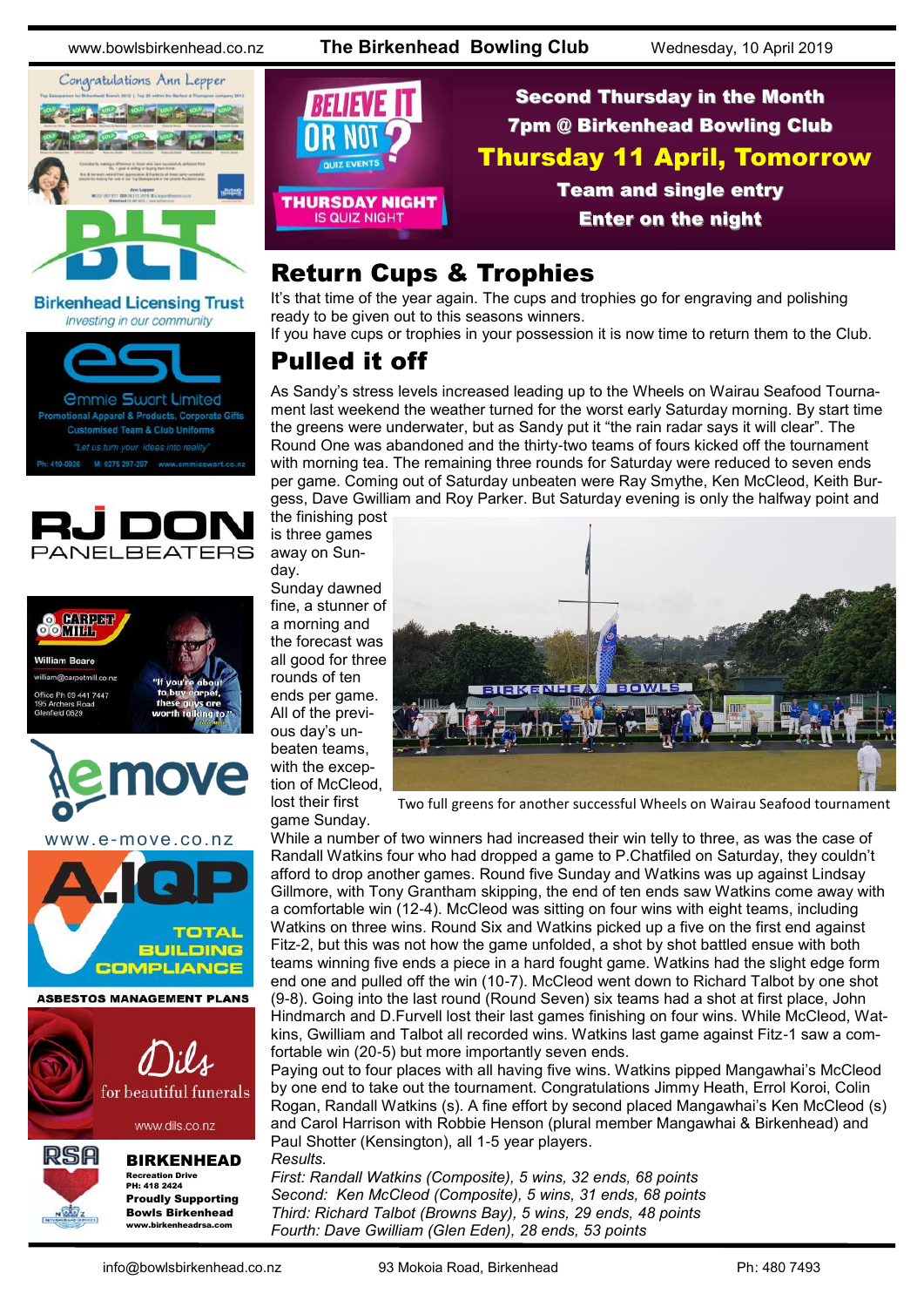www.bowlsbirkenhead.co.nz **The Birkenhead Bowling Club** Wednesday, 10 April 2019



**Birkenhead Licensing Trust** Investing in our community



onal Apparel & Products, Corporate Gifts **Customised Team & Club Uniforms** 











## BIRKENHEAD

Recreation Drive PH: 418 2424 Proudly Supporting Bowls Birkenhead www.birkenheadrsa.com

**THURSDAY NIGHT** 

Second Thursday in the Month 7pm @ Birkenhead Bowling Club Thursday 11 April, Tomorrow Team and single entry Enter on the night

## Return Cups & Trophies

It's that time of the year again. The cups and trophies go for engraving and polishing ready to be given out to this seasons winners.

If you have cups or trophies in your possession it is now time to return them to the Club.

## Pulled it off

**IS QUIZ NIGHT** 

As Sandy's stress levels increased leading up to the Wheels on Wairau Seafood Tournament last weekend the weather turned for the worst early Saturday morning. By start time the greens were underwater, but as Sandy put it "the rain radar says it will clear". The Round One was abandoned and the thirty-two teams of fours kicked off the tournament with morning tea. The remaining three rounds for Saturday were reduced to seven ends per game. Coming out of Saturday unbeaten were Ray Smythe, Ken McCleod, Keith Burgess, Dave Gwilliam and Roy Parker. But Saturday evening is only the halfway point and

the finishing post is three games away on Sunday.

Sunday dawned fine, a stunner of a morning and the forecast was all good for three rounds of ten ends per game. All of the previous day's unbeaten teams, with the exception of McCleod, lost their first

game Sunday.



Two full greens for another successful Wheels on Wairau Seafood tournament

While a number of two winners had increased their win telly to three, as was the case of Randall Watkins four who had dropped a game to P.Chatfiled on Saturday, they couldn't afford to drop another games. Round five Sunday and Watkins was up against Lindsay Gillmore, with Tony Grantham skipping, the end of ten ends saw Watkins come away with a comfortable win (12-4). McCleod was sitting on four wins with eight teams, including Watkins on three wins. Round Six and Watkins picked up a five on the first end against Fitz-2, but this was not how the game unfolded, a shot by shot battled ensue with both teams winning five ends a piece in a hard fought game. Watkins had the slight edge form end one and pulled off the win (10-7). McCleod went down to Richard Talbot by one shot (9-8). Going into the last round (Round Seven) six teams had a shot at first place, John Hindmarch and D.Furvell lost their last games finishing on four wins. While McCleod, Watkins, Gwilliam and Talbot all recorded wins. Watkins last game against Fitz-1 saw a comfortable win (20-5) but more importantly seven ends.

Paying out to four places with all having five wins. Watkins pipped Mangawhai's McCleod by one end to take out the tournament. Congratulations Jimmy Heath, Errol Koroi, Colin Rogan, Randall Watkins (s). A fine effort by second placed Mangawhai's Ken McCleod (s) and Carol Harrison with Robbie Henson (plural member Mangawhai & Birkenhead) and Paul Shotter (Kensington), all 1-5 year players. *Results.*

*First: Randall Watkins (Composite), 5 wins, 32 ends, 68 points Second: Ken McCleod (Composite), 5 wins, 31 ends, 68 points Third: Richard Talbot (Browns Bay), 5 wins, 29 ends, 48 points Fourth: Dave Gwilliam (Glen Eden), 28 ends, 53 points*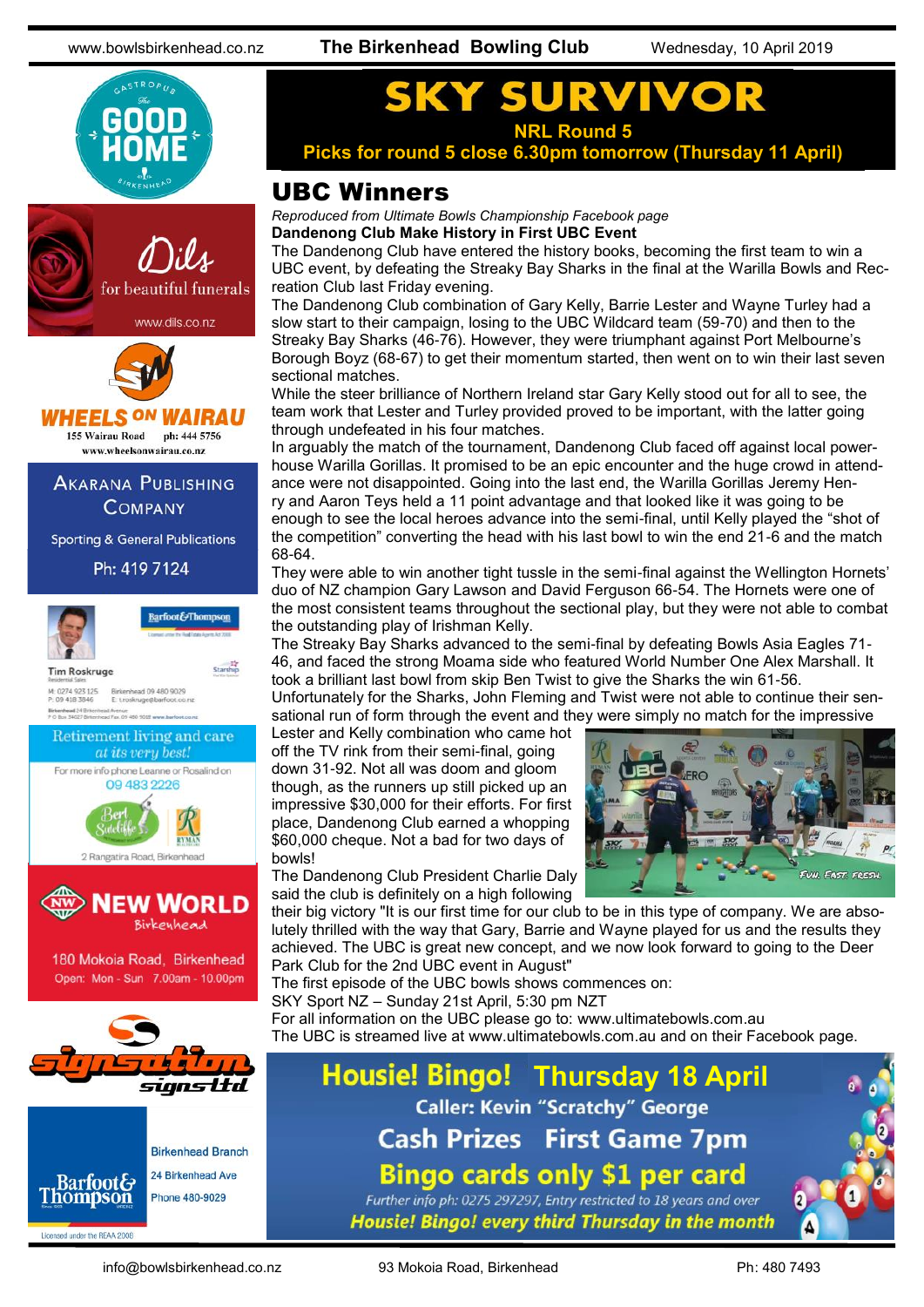



## **HEELS ON WAIRAU**

155 Wairau Road ph: 444 5756 www.wheelsonwairau.co.nz

**AKARANA PUBLISHING COMPANY** 

**Sporting & General Publications** 

Ph: 419 7124



**Barfoot&Thompson** Starship

**Tim Roskruge** 

M: 0274 923 125<br>P: 09 418 3846 Birkenhead 09 480 9029<br>E: t.roskruge@barfoot.co.nz Birkenhead 24 Britis Avenue<br>Fax. 09 480 9018 www.ba





180 Mokoia Road, Birkenhead Open: Mon - Sun 7.00am - 10.00pm





Licensed under the REAA 2008

#### URV S **NRL Round 5**

**Picks for round 5 close 6.30pm tomorrow (Thursday 11 April)**

#### UBC Winners

*Reproduced from Ultimate Bowls Championship Facebook page* **Dandenong Club Make History in First UBC Event**

The Dandenong Club have entered the history books, becoming the first team to win a UBC event, by defeating the [Streaky Bay Sharks](https://www.facebook.com/streakybaysharks/?__xts__%5B0%5D=68.ARChpqK8Gn0lGBESLNpyAeHXnPZI_-DYpgpYd4RmVNYLWqASl9T3eMJbmQzRtdi7MziP2kM5OAuMZFlsRRNgvbMHgXSB4jvkgXEd0TMsi3Cr0HR41z8-anGi3IRB8uLZ1pJW3oTedMYhN_HxMgjOjmSWjNaLPpEDBcmkFMrKT3keF03V_si3Z3mUs8n0sLenzhQPt-) in the final at the [Warilla Bowls and Rec](https://www.facebook.com/warillabowlingclub/?__xts__%5B0%5D=68.ARChpqK8Gn0lGBESLNpyAeHXnPZI_-DYpgpYd4RmVNYLWqASl9T3eMJbmQzRtdi7MziP2kM5OAuMZFlsRRNgvbMHgXSB4jvkgXEd0TMsi3Cr0HR41z8-anGi3IRB8uLZ1pJW3oTedMYhN_HxMgjOjmSWjNaLPpEDBcmkFMrKT3keF03V_si3Z3mUs8n0sLenzhQP)[reation Club](https://www.facebook.com/warillabowlingclub/?__xts__%5B0%5D=68.ARChpqK8Gn0lGBESLNpyAeHXnPZI_-DYpgpYd4RmVNYLWqASl9T3eMJbmQzRtdi7MziP2kM5OAuMZFlsRRNgvbMHgXSB4jvkgXEd0TMsi3Cr0HR41z8-anGi3IRB8uLZ1pJW3oTedMYhN_HxMgjOjmSWjNaLPpEDBcmkFMrKT3keF03V_si3Z3mUs8n0sLenzhQP) last Friday evening.

The Dandenong Club combination of [Gary Kelly,](https://www.facebook.com/GazzaKelly?__tn__=K-R&eid=ARA0ck1OOsPVmxCz4AIdlxLH9LVA3zoP8sW6ObXYgOfq4XMDN3eSSmgf3H-vdlUAivyydrr2HyXtfa0I&fref=mentions&__xts__%5B0%5D=68.ARC7EHk956lpFpfgjmX3HsF09AS7XlMaP59BwuUgxDVhFXCBB6CkoTM9y10ItR64bBnHLaq9vClw6Z47HhX-2S3sN8i262v) [Barrie Lester](https://www.facebook.com/barrie.lester.3?__tn__=K-R&eid=ARCmxOXcdkaFj3K4-c8uunsm6moLqayPoBBW9nnqVLEl0LXwGY6FgmfEopZO0qwM0QQisxL9ptv9QrI1&fref=mentions&__xts__%5B0%5D=68.ARC7EHk956lpFpfgjmX3HsF09AS7XlMaP59BwuUgxDVhFXCBB6CkoTM9y10ItR64bBnHLaq9vClw6Z47HhX-2S3sN8) and [Wayne Turley](https://www.facebook.com/wturley1?__tn__=K-R&eid=ARAIMuYipVvCWicvT_dkLxpPBGjRH8U2XaX0ofCVR4xi-MRUbsl9AcA0q55cvVX7j8pwVI9w4yrp05lb&fref=mentions&__xts__%5B0%5D=68.ARC7EHk956lpFpfgjmX3HsF09AS7XlMaP59BwuUgxDVhFXCBB6CkoTM9y10ItR64bBnHLaq9vClw6Z47HhX-2S3sN8i262vMG) had a slow start to their campaign, losing to the UBC Wildcard team (59-70) and then to the Streaky Bay Sharks (46-76). However, they were triumphant against Port Melbourne's Borough Boyz (68-67) to get their momentum started, then went on to win their last seven sectional matches.

While the steer brilliance of Northern Ireland star Gary Kelly stood out for all to see, the team work that Lester and Turley provided proved to be important, with the latter going through undefeated in his four matches.

In arguably the match of the tournament, Dandenong Club faced off against local powerhouse Warilla Gorillas. It promised to be an epic encounter and the huge crowd in attendance were not disappointed. Going into the last end, the [Warilla Gorillas](https://www.facebook.com/Warilla-Gorillas-949771075082404/?__xts__%5B0%5D=68.ARChpqK8Gn0lGBESLNpyAeHXnPZI_-DYpgpYd4RmVNYLWqASl9T3eMJbmQzRtdi7MziP2kM5OAuMZFlsRRNgvbMHgXSB4jvkgXEd0TMsi3Cr0HR41z8-anGi3IRB8uLZ1pJW3oTedMYhN_HxMgjOjmSWjNaLPpEDBcmkFMrKT3keF03V_si3Z3) [Jeremy Hen](https://www.facebook.com/jeremy.henry.902?__tn__=K-R&eid=ARA8VGPXxQzICrm-73e3bH5Md_wMd3Yzi2bvd8-VuH6P63mKoT379bX1Ty4eUKhPKMh3J73c0wrV4Q0-&fref=mentions&__xts__%5B0%5D=68.ARC7EHk956lpFpfgjmX3HsF09AS7XlMaP59BwuUgxDVhFXCBB6CkoTM9y10ItR64bBnHLaq9vClw6Z47HhX-2S3sN)[ry](https://www.facebook.com/jeremy.henry.902?__tn__=K-R&eid=ARA8VGPXxQzICrm-73e3bH5Md_wMd3Yzi2bvd8-VuH6P63mKoT379bX1Ty4eUKhPKMh3J73c0wrV4Q0-&fref=mentions&__xts__%5B0%5D=68.ARC7EHk956lpFpfgjmX3HsF09AS7XlMaP59BwuUgxDVhFXCBB6CkoTM9y10ItR64bBnHLaq9vClw6Z47HhX-2S3sN) and [Aaron Teys](https://www.facebook.com/aaron.teys.9?__tn__=K-R&eid=ARCCoYPxxYeat7d3-zi6DkdFgAgfFS16lhGYkYLHnQlOoeLexJrOWp9AU9Z_-6SLAEBSOZ4bc7HEBouY&fref=mentions&__xts__%5B0%5D=68.ARC7EHk956lpFpfgjmX3HsF09AS7XlMaP59BwuUgxDVhFXCBB6CkoTM9y10ItR64bBnHLaq9vClw6Z47HhX-2S3sN8i26) held a 11 point advantage and that looked like it was going to be enough to see the local heroes advance into the semi-final, until Kelly played the "shot of the competition" converting the head with his last bowl to win the end 21-6 and the match 68-64.

They were able to win another tight tussle in the semi-final against the Wellington Hornets' duo of NZ champion [Gary Lawson](https://www.facebook.com/gazzagemma?__tn__=K-R&eid=ARDe4gE2SnwlS2BavWsS7GHDOVaoC2Z-X1iVf8reCKzcacv4qDXvY34YSprf75r86PL3-J3PUJLJuvH2&fref=mentions&__xts__%5B0%5D=68.ARC7EHk956lpFpfgjmX3HsF09AS7XlMaP59BwuUgxDVhFXCBB6CkoTM9y10ItR64bBnHLaq9vClw6Z47HhX-2S3sN8i262v) and David Ferguson 66-54. The Hornets were one of the most consistent teams throughout the sectional play, but they were not able to combat the outstanding play of Irishman Kelly.

The Streaky Bay Sharks advanced to the semi-final by defeating Bowls Asia Eagles 71- 46, and faced the strong Moama side who featured World Number One Alex Marshall. It took a brilliant last bowl from skip [Ben Twist](https://www.facebook.com/ben.twist.35?__tn__=K-R&eid=ARD40hPASo0OrTpNIc6cDMTlDcccHno_8vld2rBKu_n8Wz_NoX4yswCQ8LFZWm-90TsNgWOBFNAnQEEQ&fref=mentions&__xts__%5B0%5D=68.ARC7EHk956lpFpfgjmX3HsF09AS7XlMaP59BwuUgxDVhFXCBB6CkoTM9y10ItR64bBnHLaq9vClw6Z47HhX-2S3sN8i26) to give the Sharks the win 61-56.

Unfortunately for the Sharks, John Fleming and Twist were not able to continue their sensational run of form through the event and they were simply no match for the impressive

Lester and Kelly combination who came hot off the TV rink from their semi-final, going down 31-92. Not all was doom and gloom though, as the runners up still picked up an impressive \$30,000 for their efforts. For first place, Dandenong Club earned a whopping \$60,000 cheque. Not a bad for two days of bowls!

The Dandenong Club President Charlie Daly said the club is definitely on a high following

FUN. FAST. FRESH.

their big victory "It is our first time for our club to be in this type of company. We are absolutely thrilled with the way that Gary, Barrie and Wayne played for us and the results they achieved. The UBC is great new concept, and we now look forward to going to the [Deer](https://www.facebook.com/deerparkclub/?__xts__%5B0%5D=68.ARChpqK8Gn0lGBESLNpyAeHXnPZI_-DYpgpYd4RmVNYLWqASl9T3eMJbmQzRtdi7MziP2kM5OAuMZFlsRRNgvbMHgXSB4jvkgXEd0TMsi3Cr0HR41z8-anGi3IRB8uLZ1pJW3oTedMYhN_HxMgjOjmSWjNaLPpEDBcmkFMrKT3keF03V_si3Z3mUs8n0sLenzhQPt-_dw4)  [Park Club](https://www.facebook.com/deerparkclub/?__xts__%5B0%5D=68.ARChpqK8Gn0lGBESLNpyAeHXnPZI_-DYpgpYd4RmVNYLWqASl9T3eMJbmQzRtdi7MziP2kM5OAuMZFlsRRNgvbMHgXSB4jvkgXEd0TMsi3Cr0HR41z8-anGi3IRB8uLZ1pJW3oTedMYhN_HxMgjOjmSWjNaLPpEDBcmkFMrKT3keF03V_si3Z3mUs8n0sLenzhQPt-_dw4) for the 2nd UBC event in August"

The first episode of the UBC bowls shows commences on:

[SKY Sport NZ](https://www.facebook.com/skysportnz/?__xts__%5B0%5D=68.ARChpqK8Gn0lGBESLNpyAeHXnPZI_-DYpgpYd4RmVNYLWqASl9T3eMJbmQzRtdi7MziP2kM5OAuMZFlsRRNgvbMHgXSB4jvkgXEd0TMsi3Cr0HR41z8-anGi3IRB8uLZ1pJW3oTedMYhN_HxMgjOjmSWjNaLPpEDBcmkFMrKT3keF03V_si3Z3mUs8n0sLenzhQPt-_dw41J) – Sunday 21st April, 5:30 pm NZT

For all information on the UBC please go to: [www.ultimatebowls.com.au](http://www.ultimatebowls.com.au/?fbclid=IwAR0J-jG4o2sQjdCL_SuA2g5W4RSC9le4oJXAzGUpgU83-2O99arN48GFu7Q) The UBC is streamed live at [www.ultimatebowls.com.au](http://www.ultimatebowls.com.au/?fbclid=IwAR0J-jG4o2sQjdCL_SuA2g5W4RSC9le4oJXAzGUpgU83-2O99arN48GFu7Q) and on their Facebook page.

## **Housie! Bingo! Thursday 18 April Caller: Kevin "Scratchy" George Cash Prizes** First Game 7pm **Bingo cards only \$1 per card**

Further info ph: 0275 297297, Entry restricted to 18 years and over Housie! Bingo! every third Thursday in the month